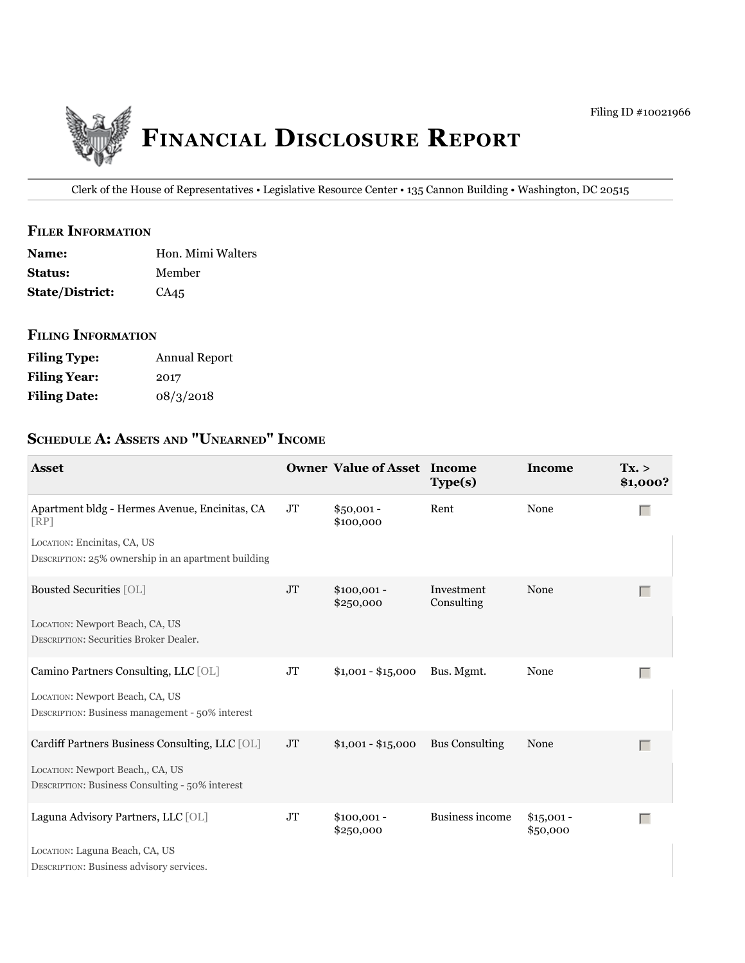

Clerk of the House of Representatives • Legislative Resource Center • 135 Cannon Building • Washington, DC 20515

#### **filer information**

| <b>Name:</b>           | Hon. Mimi Walters |
|------------------------|-------------------|
| <b>Status:</b>         | Member            |
| <b>State/District:</b> | CA <sub>45</sub>  |

# **filing information**

| <b>Filing Type:</b> | Annual Report |
|---------------------|---------------|
| <b>Filing Year:</b> | 2017          |
| <b>Filing Date:</b> | 08/3/2018     |

# **ScheDule a: aSSetS anD "unearneD" income**

| <b>Asset</b>                                                                        |          | <b>Owner Value of Asset Income</b> | Type(s)                  | Income                  | Tx. ><br>\$1,000? |
|-------------------------------------------------------------------------------------|----------|------------------------------------|--------------------------|-------------------------|-------------------|
| Apartment bldg - Hermes Avenue, Encinitas, CA<br>[RP]                               | JT       | $$50,001 -$<br>\$100,000           | Rent                     | None                    | Г                 |
| LOCATION: Encinitas, CA, US<br>DESCRIPTION: 25% ownership in an apartment building  |          |                                    |                          |                         |                   |
| <b>Bousted Securities [OL]</b>                                                      | $\rm JT$ | $$100,001 -$<br>\$250,000          | Investment<br>Consulting | None                    | $\Box$            |
| LOCATION: Newport Beach, CA, US<br><b>DESCRIPTION: Securities Broker Dealer.</b>    |          |                                    |                          |                         |                   |
| Camino Partners Consulting, LLC [OL]                                                | JT       | $$1,001 - $15,000$                 | Bus. Mgmt.               | None                    | Г                 |
| LOCATION: Newport Beach, CA, US<br>DESCRIPTION: Business management - 50% interest  |          |                                    |                          |                         |                   |
| Cardiff Partners Business Consulting, LLC [OL]                                      | JT       | $$1,001 - $15,000$                 | <b>Bus Consulting</b>    | None                    | $\Box$            |
| LOCATION: Newport Beach,, CA, US<br>DESCRIPTION: Business Consulting - 50% interest |          |                                    |                          |                         |                   |
| Laguna Advisory Partners, LLC [OL]                                                  | $\rm JT$ | $$100,001 -$<br>\$250,000          | <b>Business income</b>   | $$15,001 -$<br>\$50,000 | $\Box$            |
| LOCATION: Laguna Beach, CA, US<br>DESCRIPTION: Business advisory services.          |          |                                    |                          |                         |                   |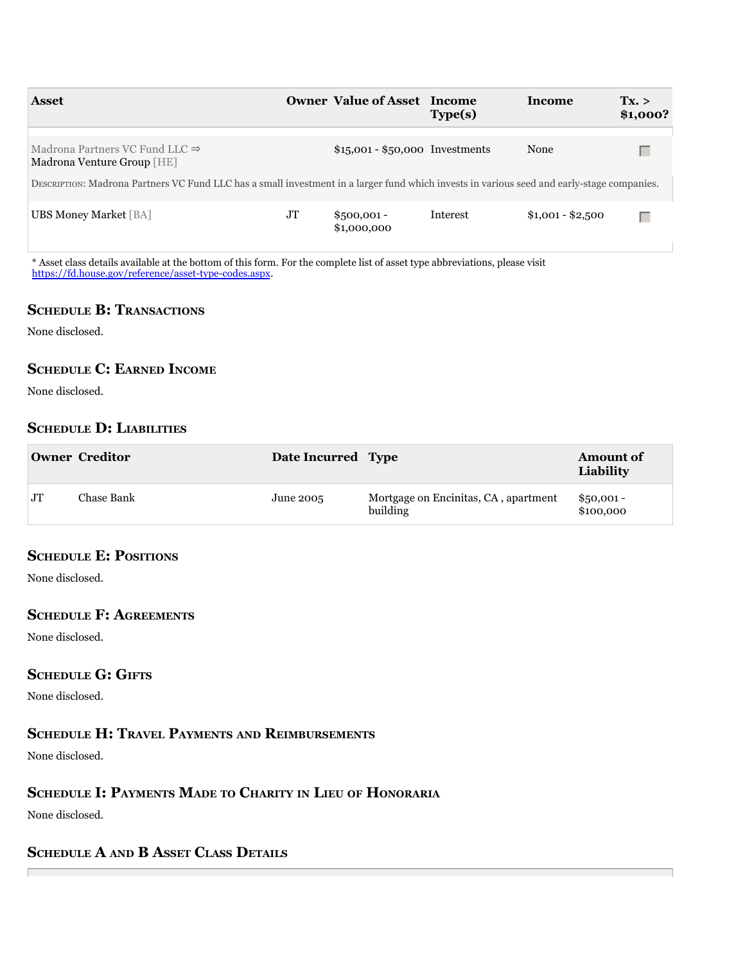| <b>Asset</b>                                                                                                                               |    | <b>Owner Value of Asset Income</b> | Type(s)  | Income            | Tx. ><br>\$1,000? |
|--------------------------------------------------------------------------------------------------------------------------------------------|----|------------------------------------|----------|-------------------|-------------------|
| Madrona Partners VC Fund LLC $\Rightarrow$<br>Madrona Venture Group [HE]                                                                   |    | $$15,001 - $50,000$ Investments    |          | None              |                   |
| DESCRIPTION: Madrona Partners VC Fund LLC has a small investment in a larger fund which invests in various seed and early-stage companies. |    |                                    |          |                   |                   |
| <b>UBS Money Market</b> [BA]                                                                                                               | JT | $$500,001 -$<br>\$1,000,000        | Interest | $$1,001 - $2,500$ | Г                 |

\* Asset class details available at the bottom of this form. For the complete list of asset type abbreviations, please visit [https://fd.house.gov/reference/asset-type-codes.aspx.](https://fd.house.gov/reference/asset-type-codes.aspx)

# **SCHEDULE B: TRANSACTIONS**

None disclosed.

# **ScheDule c: earneD income**

None disclosed.

# **ScheDule D: liaBilitieS**

|           | <b>Owner Creditor</b> | Date Incurred Type |                                                  | <b>Amount of</b><br>Liability |
|-----------|-----------------------|--------------------|--------------------------------------------------|-------------------------------|
| <b>JT</b> | Chase Bank            | June 2005          | Mortgage on Encinitas, CA, apartment<br>building | $$50,001 -$<br>\$100,000      |

# **SCHEDULE E: POSITIONS**

None disclosed.

#### **ScheDule f: agreementS**

None disclosed.

# **SCHEDULE G: GIFTS**

None disclosed.

## **ScheDule h: traVel PaymentS anD reimBurSementS**

None disclosed.

# **ScheDule i: PaymentS maDe to charity in lieu of honoraria**

None disclosed.

П

# **ScheDule a anD B aSSet claSS DetailS**